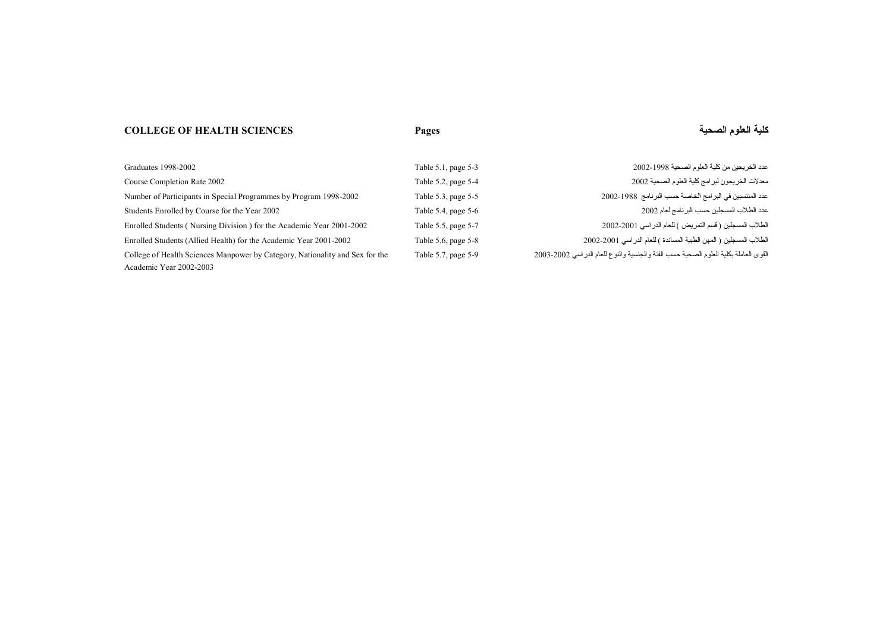## **COLLEGE OF HEALTH SCIENCES Pages الصحية العلوم آلية**

| Graduates 1998-2002                                                          | Table 5.1, page 5-3 | عدد الخر يجين من كلية العلوم الصحية 1998-2002                                       |
|------------------------------------------------------------------------------|---------------------|-------------------------------------------------------------------------------------|
| Course Completion Rate 2002                                                  | Table 5.2, page 5-4 | معدلات الخريجون لبرامج كلية العلوم الصحية 2002                                      |
| Number of Participants in Special Programmes by Program 1998-2002            | Table 5.3, page 5-5 | عدد المنتسبين في البر امج الخاصة حسب البرنامج 1988-2002                             |
| Students Enrolled by Course for the Year 2002                                | Table 5.4, page 5-6 | عدد الطلاب المسجلين حسب البرنامج لعام 2002                                          |
| Enrolled Students (Nursing Division) for the Academic Year 2001-2002         | Table 5.5, page 5-7 | الطلاب المسجلين ( قسم التمريض ) للعام الدر اسى 2001-2002                            |
| Enrolled Students (Allied Health) for the Academic Year 2001-2002            | Table 5.6, page 5-8 | الطلاب المسجلين ( المهن الطبية المساندة ) للعام الدر اسى 2001-2002                  |
| College of Health Sciences Manpower by Category, Nationality and Sex for the | Table 5.7, page 5-9 | القوى العاملة بكلية العلوم الصحية حسب الفئة والجنسية والنوع للعام الدراسي 2002-2003 |
| Academic Year 2002-2003                                                      |                     |                                                                                     |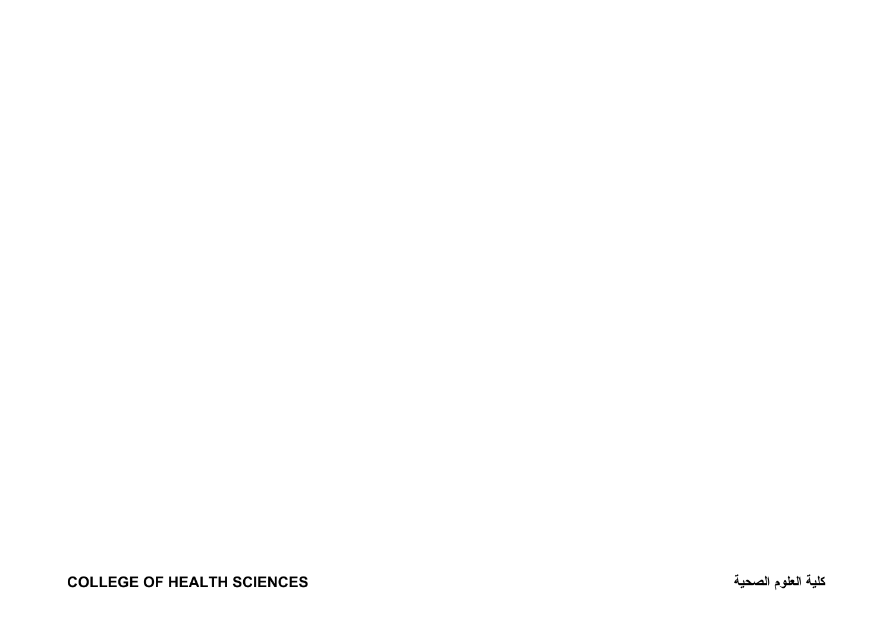**الصحية العلوم آلية**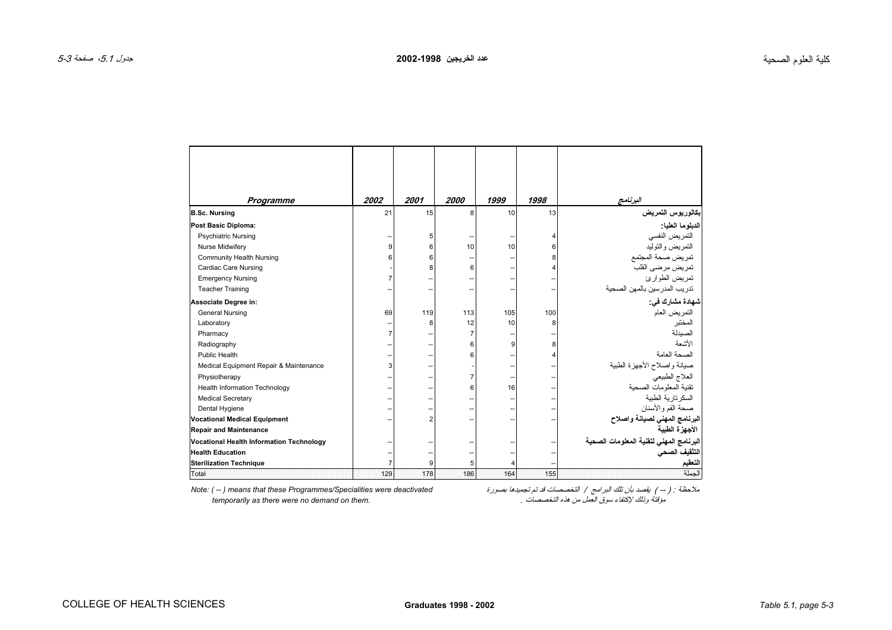<span id="page-2-0"></span> $\blacksquare$ 

| Programme                                       | 2002 | 2001           | 2000 | 1999 | 1998 | البرنامج                                        |
|-------------------------------------------------|------|----------------|------|------|------|-------------------------------------------------|
| <b>B.Sc. Nursing</b>                            | 21   | 15             | 8    | 10   | 13   | بكالوريوس التمريض                               |
| Post Basic Diploma:                             |      |                |      |      |      | الدبلوما العليا:                                |
| <b>Psychiatric Nursing</b>                      |      | 5              |      |      | 4    | التمريض النفسى                                  |
| Nurse Midwifery                                 | 9    | 6              | 10   | 10   | 6    | التمريض والتوليد                                |
| <b>Community Health Nursing</b>                 | 6    | 6              | --   |      | 8    | تمريض صحة المجتمع                               |
| <b>Cardiac Care Nursing</b>                     |      | 8              | 6    |      | Δ    | تمريض مرضى القلب                                |
| <b>Emergency Nursing</b>                        |      |                |      |      |      | تمريض الطوارئ                                   |
| <b>Teacher Training</b>                         |      |                |      |      | --   | ندريب المدرسين بالمهن الصحية                    |
| <b>Associate Degree in:</b>                     |      |                |      |      |      | شهادة مشارك في:                                 |
| <b>General Nursing</b>                          | 69   | 119            | 113  | 105  | 100  | التمريض العام                                   |
| Laboratory                                      |      | 8              | 12   | 10   | 8    | المختبر                                         |
| Pharmacy                                        |      |                | 7    |      | ۰.   | الصبدلة                                         |
| Radiography                                     |      |                | 6    | 9    | 8    | الأشعة                                          |
| <b>Public Health</b>                            |      | --             | 6    |      | 4    | الصحة العامة                                    |
| Medical Equipment Repair & Maintenance          | 3    | --             |      | --   | --   | صيانة واصلاح الأجهزة الطبية                     |
| Physiotherapy                                   |      |                |      | --   | --   | العلاج الطبيعي                                  |
| <b>Health Information Technology</b>            |      |                | 6    | 16   | ٠.   | نقنية المعلومات الصحية                          |
| <b>Medical Secretary</b>                        |      |                |      |      |      | السكر تار ية الطبية                             |
| Dental Hygiene                                  |      |                |      |      |      | صحة الفم والأسنان                               |
| <b>Vocational Medical Equipment</b>             |      | $\overline{2}$ |      |      |      |                                                 |
| <b>Repair and Maintenance</b>                   |      |                |      |      |      | البرنامج المهني لصيانة واصلاح<br>الأجهزة الطبية |
| <b>Vocational Health Information Technology</b> |      |                |      |      |      | البرنامج المهنى لتقنية المعلومات الصحية         |
| <b>Health Education</b>                         |      |                |      |      |      | التثقيف الصحى                                   |
| <b>Sterilization Technique</b>                  |      | 9              | 5    | 4    |      | التعقيم                                         |
| Total                                           | 129  | 178            | 186  | 164  | 155  | الحملة                                          |

ملاحظة : ( -- ) يقصد بأ*ن تلك البرامج / ال*تخصصات قد تم تجميدها بصورة Mote: ( -- ) means that these Programmes/Specialities were deactivated<br>مؤقتة وذلك *لإكتفاء سوق العمل من هذه التخصصات .* temporarily as there were no demand on them.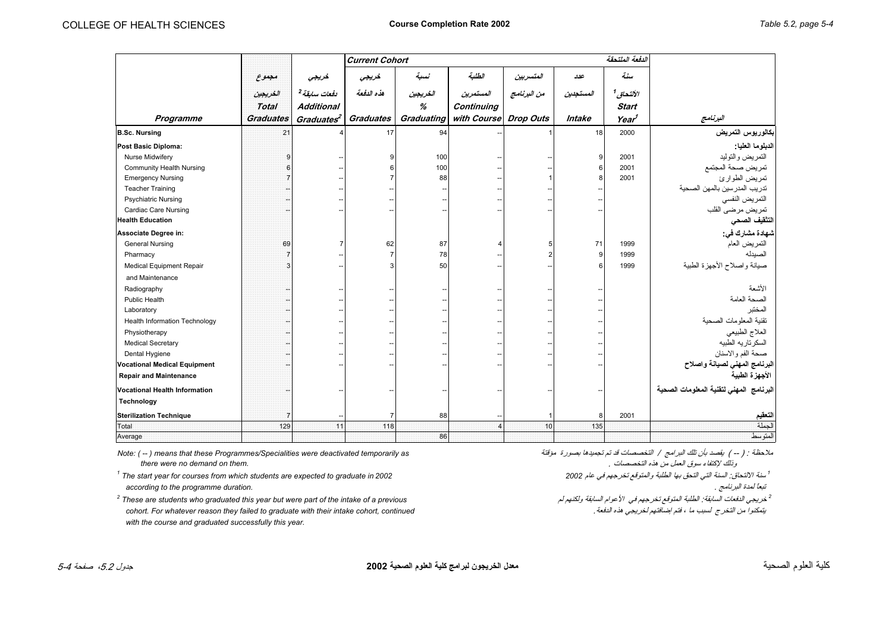<span id="page-3-0"></span>

|                                      |                  |                          | <b>Current Cohort</b> |            |             |                  |           |              |                                         |
|--------------------------------------|------------------|--------------------------|-----------------------|------------|-------------|------------------|-----------|--------------|-----------------------------------------|
|                                      | مجموع            | خريجى                    | خريجى                 | نسبة       | الطلبة      | المتسربين        | علال      | سنة          |                                         |
|                                      | الغريجين         | دفعات سابقة <sup>2</sup> | هذه النفعة            | الخريجين   | المستمرين   | من البرنامج      | المستجدين | الألتحاق 1   |                                         |
|                                      | <b>Total</b>     | <b>Additional</b>        |                       | %          | Continuing  |                  |           | <b>Start</b> |                                         |
| Programme                            | <b>Graduates</b> | Graduates <sup>2</sup>   | <b>Graduates</b>      | Graduating | with Course | <b>Drop Outs</b> | Intake    | Year         | البرنامج                                |
| <b>B.Sc. Nursing</b>                 | 21               |                          | 17                    | 94         |             |                  | 18        | 2000         | بكالوريوس التمريض                       |
| Post Basic Diploma:                  |                  |                          |                       |            |             |                  |           |              | الدبلوما العليا:                        |
| Nurse Midwifery                      | q                |                          |                       | 100        |             |                  | 9         | 2001         | التمريض والتوليد                        |
| <b>Community Health Nursing</b>      | 6                |                          |                       | 100        |             |                  | 6         | 2001         | تمريض صحة المجتمع                       |
| <b>Emergency Nursing</b>             |                  |                          |                       | 88         |             |                  | 8         | 2001         | تمريض الطوارئ                           |
| <b>Teacher Training</b>              |                  |                          |                       |            |             |                  |           |              | تدريب المدرسين بالمهن الصحية            |
| <b>Psychiatric Nursing</b>           |                  |                          |                       |            |             |                  |           |              | التمريض النفسى                          |
| <b>Cardiac Care Nursing</b>          |                  |                          |                       |            |             |                  |           |              | نمريض مرضى القلب                        |
| <b>Health Education</b>              |                  |                          |                       |            |             |                  |           |              | التثقيف الصحى                           |
| Associate Degree in:                 |                  |                          |                       |            |             |                  |           |              | شهادة مشارك في:                         |
| <b>General Nursing</b>               | 69               |                          | 62                    | 87         |             |                  | 71        | 1999         | التمريض العام                           |
| Pharmacy                             |                  |                          |                       | 78         |             |                  | 9         | 1999         | الصبدله                                 |
| <b>Medical Equipment Repair</b>      |                  |                          |                       | 50         |             |                  | 6         | 1999         | صيانة واصلاح الأجهزة الطبية             |
| and Maintenance                      |                  |                          |                       |            |             |                  |           |              |                                         |
| Radiography                          |                  |                          |                       |            |             |                  |           |              | الأشعة                                  |
| Public Health                        |                  |                          |                       |            |             |                  |           |              | الصحة العامة                            |
| Laboratory                           |                  |                          |                       |            |             |                  |           |              | المختبر                                 |
| <b>Health Information Technology</b> |                  |                          |                       |            |             |                  |           |              | تقنية المعلومات الصحية                  |
| Physiotherapy                        |                  |                          |                       |            |             |                  |           |              | العلاج الطبيعي                          |
| <b>Medical Secretary</b>             |                  |                          |                       |            |             |                  |           |              | السكر تاريه الطبيه                      |
| Dental Hygiene                       |                  |                          |                       |            |             |                  |           |              | صحة الفم والاسنان                       |
| <b>Vocational Medical Equipment</b>  |                  |                          |                       |            |             |                  |           |              | البرنامج المهني لصيانة واصلاح           |
| <b>Repair and Maintenance</b>        |                  |                          |                       |            |             |                  |           |              | الأجهزة الطبية                          |
| <b>Vocational Health Information</b> |                  |                          |                       |            |             |                  |           |              | البرنامج المهنى لتقنية المعلومات الصحية |
| <b>Technology</b>                    |                  |                          |                       |            |             |                  |           |              |                                         |
| <b>Sterilization Technique</b>       | ា                |                          |                       | 88         |             |                  | 8         | 2001         | التعقيم                                 |
| Total                                | 129              | 11                       | 118                   |            |             | 10               | 135       |              | الحملة                                  |
| Average                              |                  |                          |                       | 86         |             |                  |           |              | المتوسط                                 |

Note: (--) means that these Programmes/Specialities were deactivated temporarily as ملاحظة : ( -- ) means that these Programmes/Specialities were deactivated temporarily as<br>وذلك لإكتفاء سوق العمل من هذه التخصصات .<br>وذلك لإكتفاء سوق العمل من هذه التخصصات .

<sup>2</sup> These are students who graduated this year but were part of the intake of a previous  $\,$  cohort. For whatever reason they failed to graduate with their intake cohort, continued ، وتقم إضافتهم لخريجي هذه النفعة .  *with the course and graduated successfully this year.*

*1 The start year for courses from which students are expected to graduate in 2002 <sup>2002</sup>* عام في تخرجهم والمتوقع الطلبة بها التحق التي السنة :الالتحاق سنة *<sup>1</sup>* تبعا ل*مدة البرنامج .*<br><sup>2</sup> خريجي النغالة المتوقع تخرجهم في الأعوام السابقة ولكنهم لم السابقة والمدة المسابقة والمدة أن المدة أن المسابقة المسابقة والمدة والمسابقة والمسابقة والمسابقة والمسابقة والمسابقة والمسابقة والمسابق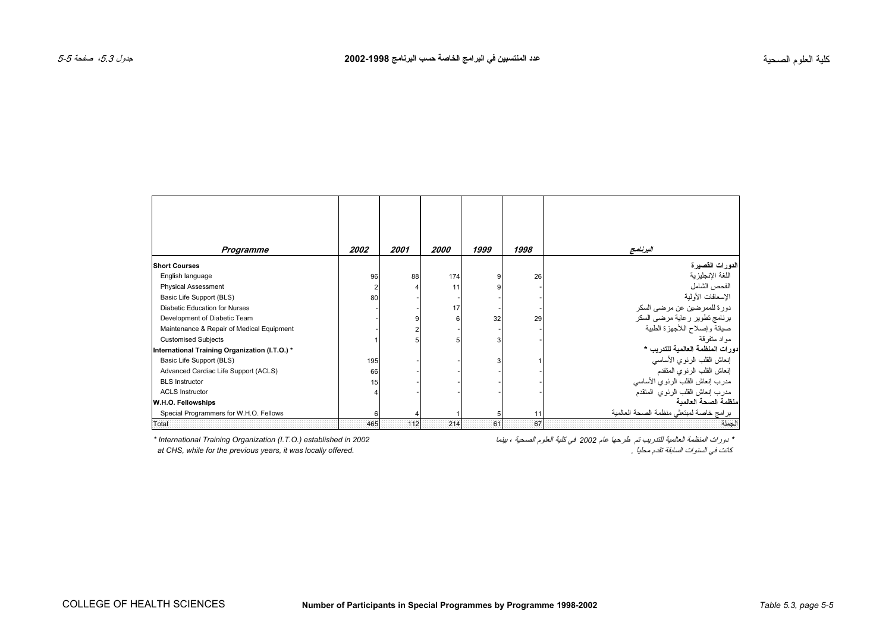<span id="page-4-0"></span>

| Programme                                      | 2002 | 2001 | <i>2000</i> | 1999 | 1998 | البرنامج                                |
|------------------------------------------------|------|------|-------------|------|------|-----------------------------------------|
| <b>Short Courses</b>                           |      |      |             |      |      | الدورات القصير ة                        |
| English language                               | 96   | 88   | 174         | g    | 26   | اللغة الإنجليزية                        |
| <b>Physical Assessment</b>                     |      |      | 11          | q    |      | الفحص الشامل                            |
| Basic Life Support (BLS)                       | 80   |      |             |      |      | الإسعافات الأولمية                      |
| <b>Diabetic Education for Nurses</b>           |      |      | 17          |      |      | دورة للممرضين عن مرضى السكر             |
| Development of Diabetic Team                   |      |      |             | 32   | 29   | برنامج نطوير رعاية مرضى السكر           |
| Maintenance & Repair of Medical Equipment      |      |      |             |      |      | صيانة وإصلاح اللأجهزة الطبية            |
| <b>Customised Subjects</b>                     |      |      |             | 3    |      | مو اد متقر قة                           |
| International Training Organization (I.T.O.) * |      |      |             |      |      | دورات المنظمة العالمية للتدريب *        |
| Basic Life Support (BLS)                       | 195  |      |             |      |      | إنعاش القلب الرئوي الأساسى              |
| Advanced Cardiac Life Support (ACLS)           | 66   |      |             |      |      | إنعاش القلب الرئوي المتقدم              |
| <b>BLS</b> Instructor                          | 15   |      |             |      |      | مدرب إنعاش القلب الرئوي الأساسى         |
| <b>ACLS Instructor</b>                         |      |      |             |      |      | مدرب إنعاش القلب الرئوي المنقدم         |
| W.H.O. Fellowships                             |      |      |             |      |      | منظمة الصحة العالمبة                    |
| Special Programmers for W.H.O. Fellows         | 6    |      |             |      | 11   | برامج خاصة لمبتعثي منظمة الصحة العالمية |
| Total                                          | 465  | 112  | 214         | 61   | 67   | لحملة                                   |

\* دورات المنظمة العالمية للتدریب تم طرحها عام *<sup>2002</sup>* في آلية العلوم الصحية ، بينما *2002 in established) .O.T.I (Organization Training International\* at CHS, while for the previous years, it was locally offered.* . ًمحليا تقدم السابقة السنوات في آانت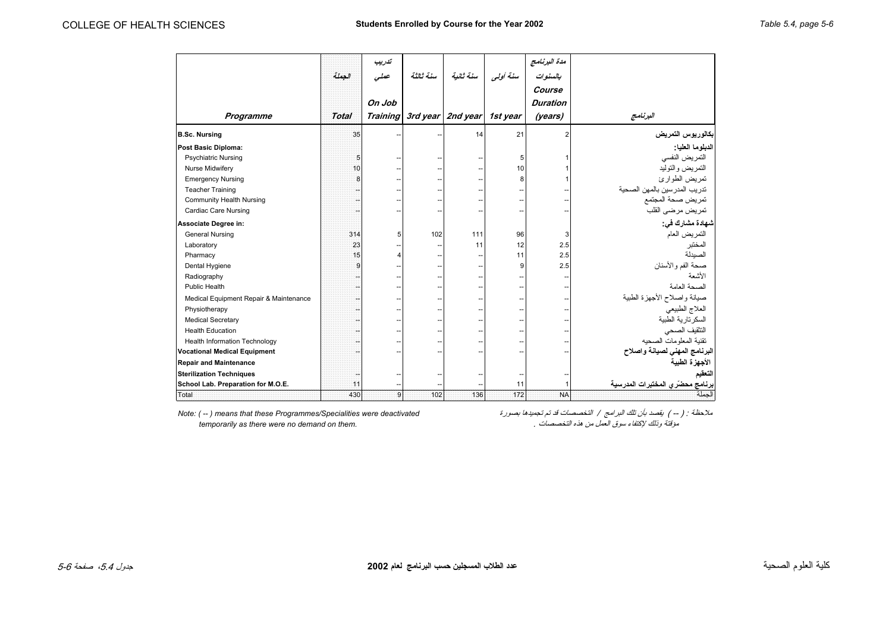<span id="page-5-0"></span>

|                                        |              | تدريب           |           |                          |          | مدة البرنامج    |                                   |
|----------------------------------------|--------------|-----------------|-----------|--------------------------|----------|-----------------|-----------------------------------|
|                                        | الحملة       | عملى            | سنة ثالثة | سنة ثانية                | سنة أولى | بالسنوات        |                                   |
|                                        |              |                 |           |                          |          | Course          |                                   |
|                                        |              | On Job          |           |                          |          | <b>Duration</b> |                                   |
| Programme                              | <b>Total</b> | <b>Training</b> | 3rd year  | 2nd year                 | 1st year | (years)         | البرنامج                          |
| <b>B.Sc. Nursing</b>                   | 35           |                 |           | 14                       | 21       | $\overline{2}$  | بكالوريوس التمريض                 |
| Post Basic Diploma:                    |              |                 |           |                          |          |                 | الدبلوما العليا:                  |
| <b>Psychiatric Nursing</b>             | 5            |                 |           |                          | 5        |                 | التمريض النفسي                    |
| Nurse Midwifery                        | 10           |                 |           | Ξ.                       | 10       |                 | التمريض والتوليد                  |
| <b>Emergency Nursing</b>               |              |                 |           | $\overline{\phantom{a}}$ | 8        |                 | تمريض الطوارئ                     |
| <b>Teacher Training</b>                |              |                 |           |                          |          |                 | تدريب المدرسين بالمهن الصحية      |
| <b>Community Health Nursing</b>        |              |                 |           | $\overline{\phantom{a}}$ |          | --              | تمريض صحة المجتمع                 |
| <b>Cardiac Care Nursing</b>            |              |                 |           |                          |          | --              | تمريض مرضى القلب                  |
| Associate Degree in:                   |              |                 |           |                          |          |                 | شهادة مشارك في:                   |
| <b>General Nursing</b>                 | 314          | 5               | 102       | 111                      | 96       | 3               | التمريض العام                     |
| Laboratory                             | 23           |                 |           | 11                       | 12       | 2.5             | المختبر                           |
| Pharmacy                               | 15           | Δ               |           |                          | 11       | 2.5             | الصيدلة                           |
| Dental Hygiene                         |              |                 |           | $\overline{\phantom{a}}$ | 9        | 2.5             | صحة الفم و الأسنان                |
| Radiography                            |              |                 |           | $\overline{\phantom{a}}$ |          |                 | الأشعة                            |
| <b>Public Health</b>                   |              |                 |           | $\overline{\phantom{a}}$ |          |                 | الصحة العامة                      |
| Medical Equipment Repair & Maintenance |              |                 |           | н,                       |          | --              | صيانة واصلاح الأجهزة الطبية       |
| Physiotherapy                          |              |                 |           |                          |          | --              | العلاج الطبيعي                    |
| <b>Medical Secretary</b>               |              |                 |           | $\overline{\phantom{a}}$ |          | --              | السكر تار بة الطببة               |
| <b>Health Education</b>                |              |                 |           | $\overline{\phantom{a}}$ |          | $\overline{a}$  | التثقيف الصحى                     |
| <b>Health Information Technology</b>   |              |                 |           | Ξ.                       |          | $\overline{a}$  | نقنية المعلومات الصحيه            |
| <b>Vocational Medical Equipment</b>    |              |                 |           |                          |          |                 | البرنامج المهني لصيانة واصلاح     |
| <b>Repair and Maintenance</b>          |              |                 |           |                          |          |                 | الأجهزة الطبية                    |
| <b>Sterilization Techniques</b>        |              |                 |           |                          |          |                 | التعقيم                           |
| School Lab. Preparation for M.O.E.     | 11           |                 |           |                          | 11       |                 | برنامج محضّر ي المختبرات المدرسية |
| Total                                  | 430          | 9               | 102       | 136                      | 172      | <b>NA</b>       |                                   |

Note: ( -- ) means that these Programmes/Specialities were deactivated

ملاحظة : ( -- ) means that these Programmes/Specialities were deactivated ( -- ) يتصد بأ*ن تلك للبرامج / التخصصات قد تم ت*جميدها بصورة<br>مؤقتة وذلك *لإكتفاء سوق العمل من هذه التخصصات* .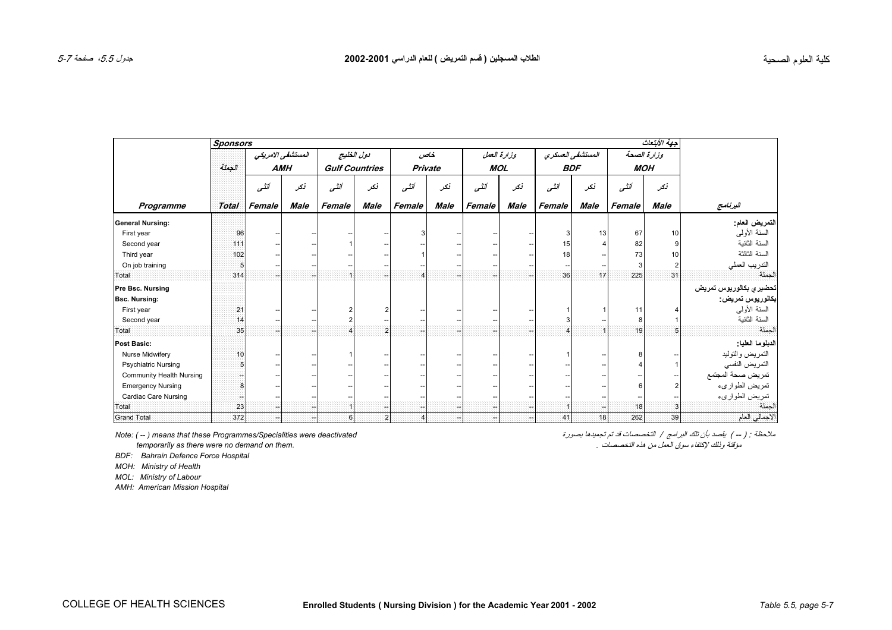<span id="page-6-0"></span>

|              |        |                       | دول الخليج<br>خاص               |      |                       |      |         |      |                           |             |                                                  |                |                                                                                                       |
|--------------|--------|-----------------------|---------------------------------|------|-----------------------|------|---------|------|---------------------------|-------------|--------------------------------------------------|----------------|-------------------------------------------------------------------------------------------------------|
| الجعلة       |        |                       |                                 |      |                       |      |         |      |                           |             |                                                  |                |                                                                                                       |
|              | أنشى   | نكر                   | أنشى                            | نكر  | أنشهر                 | نكر  | أنثعى   | نكر  | أنشى                      | نىر         | أنشى                                             | نكر            |                                                                                                       |
| <b>Total</b> | Female | <b>Male</b>           | Female                          | Male | Female                | Male | Female  | Male | Female                    | <b>Male</b> |                                                  | <b>Male</b>    | البرنامج                                                                                              |
|              |        |                       |                                 |      |                       |      |         |      |                           |             |                                                  |                | التمريض العام:                                                                                        |
|              |        |                       |                                 |      |                       |      |         |      |                           |             | 67                                               |                | السنة الأولىي                                                                                         |
| 111          |        |                       |                                 |      |                       |      |         |      |                           |             |                                                  |                | السنة الثانبة                                                                                         |
| 102          |        |                       |                                 |      |                       |      |         |      |                           |             |                                                  |                | السنة الثالثة                                                                                         |
| 5            |        |                       |                                 |      |                       |      |         |      |                           |             |                                                  |                | التدريب العملي                                                                                        |
| 314          |        | ے                     |                                 |      |                       |      |         |      |                           |             |                                                  | 31             | الحملة                                                                                                |
|              |        |                       |                                 |      |                       |      |         |      |                           |             |                                                  |                | تحضيري بكالوريوس تمريض                                                                                |
|              |        |                       |                                 |      |                       |      |         |      |                           |             |                                                  |                | بكالوريوس تمريض:                                                                                      |
| 21           |        |                       |                                 |      |                       |      |         |      |                           |             | 11                                               |                | السنة الأولىي                                                                                         |
| 14           |        |                       |                                 |      |                       |      |         |      |                           |             |                                                  |                | السنة الثانبة                                                                                         |
| 35           |        |                       |                                 |      |                       |      |         |      |                           |             | 19                                               |                | الحملة                                                                                                |
|              |        |                       |                                 |      |                       |      |         |      |                           |             |                                                  |                | الدبلوما الطيا:                                                                                       |
| 10           |        |                       |                                 |      |                       |      |         |      |                           |             |                                                  |                | التمريض والتوليد                                                                                      |
|              |        |                       |                                 |      |                       |      |         |      |                           |             |                                                  |                | التمريض النفسي                                                                                        |
|              |        |                       |                                 |      |                       |      |         |      |                           |             |                                                  |                | تمريض صحة المجتمع                                                                                     |
|              |        |                       |                                 |      |                       |      |         |      |                           |             |                                                  |                | تمريض الطواريء                                                                                        |
|              |        |                       |                                 |      |                       |      |         |      |                           |             |                                                  |                | تمريض الطوارىء                                                                                        |
| 23           |        | ÷                     |                                 |      |                       |      |         |      |                           |             |                                                  |                | الحملة                                                                                                |
| 372          | щú,    | نتنت                  | 6                               |      |                       |      |         |      |                           |             |                                                  |                | الأجمالي العام                                                                                        |
|              |        | <b>Sponsors</b><br>96 | المستشفى الامريكي<br><b>AMH</b> |      | <b>Gulf Countries</b> |      | Private |      | وزارة العمل<br><b>MOL</b> | 41          | المستشفى العسكري<br><b>BDF</b><br>15<br>18<br>36 | 13<br>17<br>18 | جهة الأبتعاث<br>وزارة الصحة<br><b>MOH</b><br>Female<br>10<br>82<br>73<br>10<br>225<br>18<br>39<br>262 |

Note: ( -- ) means that these Programmes/Specialities were deactivated

*BDF: Bahrain Defence Force Hospital*

*MOH: Ministry of Health* 

*MOL: Ministry of Labour*

*AMH: American Mission Hospital*

ملاحظة : ( -- ) means that these Programmes/Specialities were deactivated ( -- ) يقصد بأن تلك البرامج / التخصصات قد تم تجميدها بصورة .<br>ونظقة وذلك لإكتفاء سوق العمل من هذه التخصصات .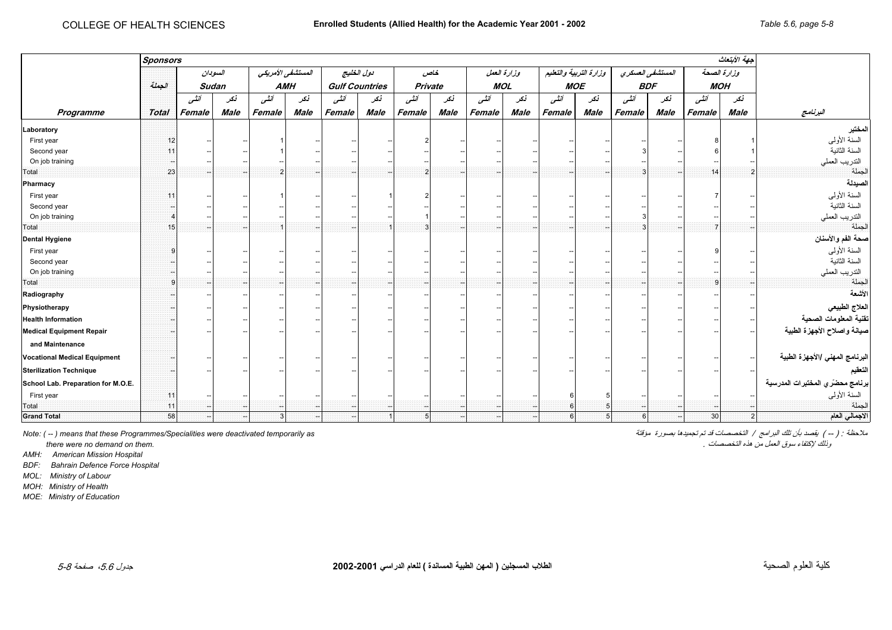<span id="page-7-0"></span>

|                                     | <b>Sponsors</b> |        |             |        |                   |        |                       |        |             |        |             |                |                        |        |                  |                 | جهة الأبتعاث   |                                   |
|-------------------------------------|-----------------|--------|-------------|--------|-------------------|--------|-----------------------|--------|-------------|--------|-------------|----------------|------------------------|--------|------------------|-----------------|----------------|-----------------------------------|
|                                     |                 |        | السودان     |        | المستشفى الأمريكي |        | دول الخليج            |        | خاص         |        | وزارة العمل |                | وزارة التربية والتعليم |        | المستشفى العسكري |                 | وزارة الصحة    |                                   |
|                                     | الجملة          |        | Sudan       |        | AMH               |        | <b>Gulf Countries</b> |        | Private     |        | <b>MOL</b>  |                | <b>MOE</b>             |        | <b>BDF</b>       |                 | <b>MOH</b>     |                                   |
|                                     |                 | أنشى   | نكر         | أننسى  | نكر               | أننسى  | نكر                   | أنشى   | نكر         | أنشى   | نکر         | أنشى           | نكر                    | أنشى   | نكر              | أنشى            | نكر            |                                   |
| Programme                           | <b>Total</b>    | Female | <b>Male</b> | Female | Male              | Female | <b>Male</b>           | Female | <b>Male</b> | Female | <b>Male</b> | Female         | <b>Male</b>            | Female | Male             | Female          | <b>Male</b>    | البرنامج                          |
| Laboratory                          |                 |        |             |        |                   |        |                       |        |             |        |             |                |                        |        |                  |                 |                | المختبر                           |
| First year                          | 12              |        |             |        |                   |        |                       |        |             |        |             |                |                        |        |                  |                 |                | السنة الأولىي                     |
| Second year                         |                 |        |             |        |                   |        |                       |        |             |        |             |                |                        |        |                  |                 |                | السنة الثانية                     |
| On job training                     |                 |        |             |        |                   |        |                       |        |             |        |             |                |                        |        |                  |                 |                | التدريب العملي                    |
| Total                               | 23              |        |             |        |                   |        |                       |        |             |        |             |                |                        |        |                  | 14              |                | الجملة                            |
| Pharmacy                            |                 |        |             |        |                   |        |                       |        |             |        |             |                |                        |        |                  |                 |                | الصيدلة                           |
| First year                          |                 |        |             |        |                   |        |                       |        |             |        |             |                |                        |        |                  |                 |                | السنة الأولىي                     |
| Second year                         |                 |        |             |        |                   |        |                       |        |             |        |             |                |                        |        |                  |                 |                | السنة الثانية                     |
| On job training                     |                 |        |             |        |                   |        |                       |        |             |        |             |                |                        |        |                  |                 |                | التدريب العملي                    |
| Total                               |                 |        |             |        |                   |        |                       |        |             |        |             |                |                        |        |                  |                 |                | الجملة                            |
| <b>Dental Hygiene</b>               |                 |        |             |        |                   |        |                       |        |             |        |             |                |                        |        |                  |                 |                | صحة الفم والأسنان                 |
| First year                          |                 |        |             |        |                   |        |                       |        |             |        |             |                |                        |        |                  |                 |                | السنة الأولىي                     |
| Second year                         |                 |        |             |        |                   |        |                       |        |             |        |             |                |                        |        |                  |                 |                | السنة الثانية                     |
| On job training                     |                 |        |             |        |                   |        |                       |        |             |        |             |                |                        |        |                  |                 |                | التدريب العملي                    |
| Total                               |                 |        |             |        |                   |        |                       |        |             |        |             |                |                        |        |                  |                 |                | الجملة                            |
| Radiography                         |                 |        |             |        |                   |        |                       |        |             |        |             |                |                        |        |                  |                 |                | الأشعة                            |
| Physiotherapy                       |                 |        |             |        |                   |        |                       |        |             |        |             |                |                        |        |                  |                 |                | العلاج الطبيعي                    |
| <b>Health Information</b>           |                 |        |             |        |                   |        |                       |        |             |        |             |                |                        |        |                  |                 |                | تقنية المعلومات الصحية            |
|                                     |                 |        |             |        |                   |        |                       |        |             |        |             |                |                        |        |                  |                 |                |                                   |
| <b>Medical Equipment Repair</b>     |                 |        |             |        |                   |        |                       |        |             |        |             |                |                        |        |                  |                 |                | صيانة واصلاح الأجهزة الطبية       |
| and Maintenance                     |                 |        |             |        |                   |        |                       |        |             |        |             |                |                        |        |                  |                 |                |                                   |
| <b>Vocational Medical Equipment</b> |                 |        |             |        |                   |        |                       |        |             |        |             |                |                        |        |                  |                 |                | البرنامج المهني االأجهزة الطبية   |
| <b>Sterilization Technique</b>      |                 |        |             |        |                   |        |                       |        |             |        |             |                |                        |        |                  |                 |                | التعقيم                           |
| School Lab. Preparation for M.O.E.  |                 |        |             |        |                   |        |                       |        |             |        |             |                |                        |        |                  |                 |                | برنامج محضّر ي المختبرات المدرسية |
| First year                          | -11             |        |             |        |                   |        |                       |        |             |        |             |                |                        |        |                  |                 |                | السنة الأولىي                     |
| Total                               | 11              |        |             |        |                   |        |                       |        |             |        |             |                |                        |        |                  |                 |                | الجملة                            |
| <b>Grand Total</b>                  | 58              |        |             |        | 3                 |        |                       |        |             |        |             | 6 <sup>1</sup> | 5                      | 6      |                  | 30 <sup>1</sup> | $\overline{2}$ | الاجمالي العام                    |

Note: ( -- ) means that these Programmes/Specialities were deactivated temporarily as

*AMH: American Mission Hospital*

*BDF: Bahrain Defence Force Hospital*

*MOL: Ministry of Labour*

*MOH: Ministry of Health* 

*MOE: Ministry of Education*

وذلك لإآتفاء سوق العمل من هذه التخصصات . *.them on demand no were there*